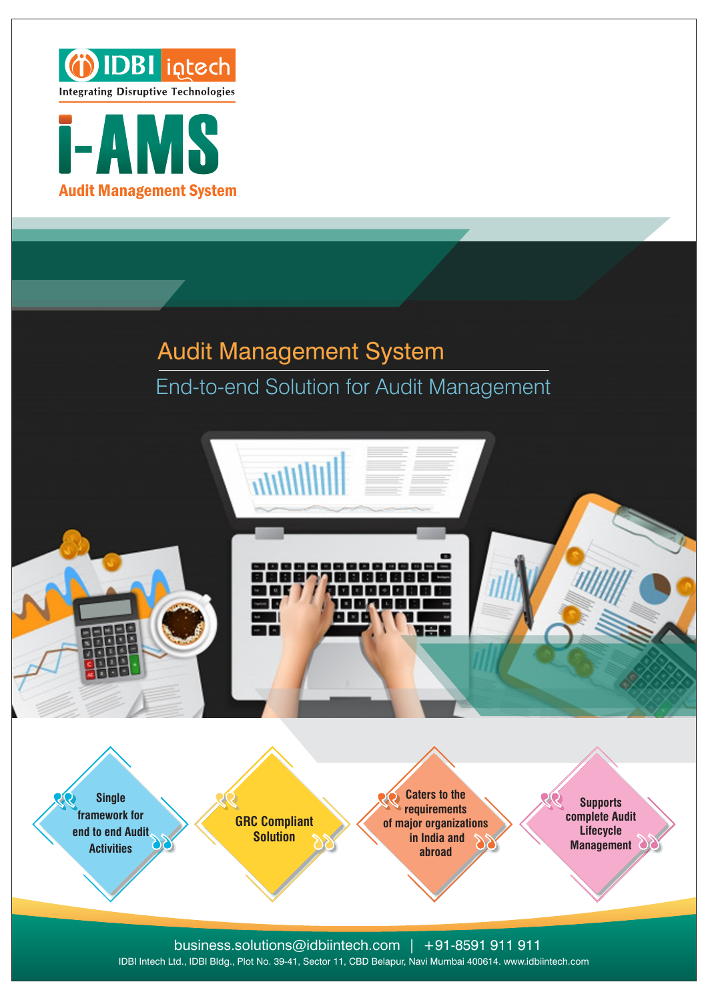



## Audit Management System End-to-end Solution for Audit Management